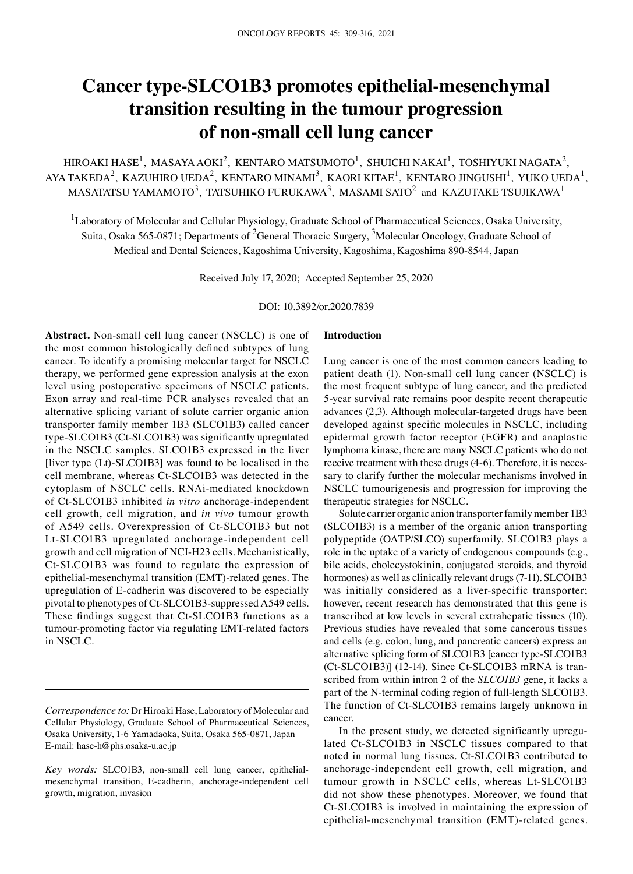# **Cancer type‑SLCO1B3 promotes epithelial‑mesenchymal transition resulting in the tumour progression of non‑small cell lung cancer**

HIROAKI HASE $^{\rm l}$ , MASAYA AOKI $^{\rm 2}$ , KENTARO MATSUMOTO $^{\rm l}$ , SHUICHI NAKAI $^{\rm l}$ , TOSHIYUKI NAGATA $^{\rm 2}$ , AYA TAKEDA<sup>2</sup>, KAZUHIRO UEDA<sup>2</sup>, KENTARO MINAMI<sup>3</sup>, KAORI KITAE<sup>1</sup>, KENTARO JINGUSHI<sup>1</sup>, YUKO UEDA<sup>1</sup>, MASATATSU YAMAMOTO $^3$ , TATSUHIKO FURUKAWA $^3$ , MASAMI SATO $^2$  and KAZUTAKE TSUJIKAWA $^1$ 

<sup>1</sup>Laboratory of Molecular and Cellular Physiology, Graduate School of Pharmaceutical Sciences, Osaka University, Suita, Osaka 565-0871; Departments of <sup>2</sup>General Thoracic Surgery, <sup>3</sup>Molecular Oncology, Graduate School of Medical and Dental Sciences, Kagoshima University, Kagoshima, Kagoshima 890‑8544, Japan

Received July 17, 2020; Accepted September 25, 2020

DOI: 10.3892/or.2020.7839

**Abstract.** Non-small cell lung cancer (NSCLC) is one of the most common histologically defined subtypes of lung cancer. To identify a promising molecular target for NSCLC therapy, we performed gene expression analysis at the exon level using postoperative specimens of NSCLC patients. Exon array and real-time PCR analyses revealed that an alternative splicing variant of solute carrier organic anion transporter family member 1B3 (SLCO1B3) called cancer type‑SLCO1B3 (Ct‑SLCO1B3) was significantly upregulated in the NSCLC samples. SLCO1B3 expressed in the liver [liver type (Lt)‑SLCO1B3] was found to be localised in the cell membrane, whereas Ct‑SLCO1B3 was detected in the cytoplasm of NSCLC cells. RNAi‑mediated knockdown of Ct‑SLCO1B3 inhibited *in vitro* anchorage‑independent cell growth, cell migration, and *in vivo* tumour growth of A549 cells. Overexpression of Ct‑SLCO1B3 but not Lt-SLCO1B3 upregulated anchorage-independent cell growth and cell migration of NCI‑H23 cells. Mechanistically, Ct‑SLCO1B3 was found to regulate the expression of epithelial-mesenchymal transition (EMT)-related genes. The upregulation of E‑cadherin was discovered to be especially pivotal to phenotypes of Ct‑SLCO1B3‑suppressed A549 cells. These findings suggest that Ct-SLCO1B3 functions as a tumour‑promoting factor via regulating EMT‑related factors in NSCLC.

## **Introduction**

Lung cancer is one of the most common cancers leading to patient death (1). Non-small cell lung cancer (NSCLC) is the most frequent subtype of lung cancer, and the predicted 5‑year survival rate remains poor despite recent therapeutic advances (2,3). Although molecular-targeted drugs have been developed against specific molecules in NSCLC, including epidermal growth factor receptor (EGFR) and anaplastic lymphoma kinase, there are many NSCLC patients who do not receive treatment with these drugs (4‑6). Therefore, it is necessary to clarify further the molecular mechanisms involved in NSCLC tumourigenesis and progression for improving the therapeutic strategies for NSCLC.

Solute carrier organic anion transporter family member 1B3 (SLCO1B3) is a member of the organic anion transporting polypeptide (OATP/SLCO) superfamily. SLCO1B3 plays a role in the uptake of a variety of endogenous compounds (e.g., bile acids, cholecystokinin, conjugated steroids, and thyroid hormones) as well as clinically relevant drugs (7-11). SLCO1B3 was initially considered as a liver-specific transporter; however, recent research has demonstrated that this gene is transcribed at low levels in several extrahepatic tissues (10). Previous studies have revealed that some cancerous tissues and cells (e.g. colon, lung, and pancreatic cancers) express an alternative splicing form of SLCO1B3 [cancer type‑SLCO1B3 (Ct‑SLCO1B3)] (12‑14). Since Ct‑SLCO1B3 mRNA is transcribed from within intron 2 of the *SLCO1B3* gene, it lacks a part of the N-terminal coding region of full-length SLCO1B3. The function of Ct‑SLCO1B3 remains largely unknown in cancer.

In the present study, we detected significantly upregulated Ct‑SLCO1B3 in NSCLC tissues compared to that noted in normal lung tissues. Ct‑SLCO1B3 contributed to anchorage‑independent cell growth, cell migration, and tumour growth in NSCLC cells, whereas Lt‑SLCO1B3 did not show these phenotypes. Moreover, we found that Ct‑SLCO1B3 is involved in maintaining the expression of epithelial-mesenchymal transition (EMT)-related genes.

*Correspondence to:* Dr Hiroaki Hase, Laboratory of Molecular and Cellular Physiology, Graduate School of Pharmaceutical Sciences, Osaka University, 1‑6 Yamadaoka, Suita, Osaka 565‑0871, Japan E‑mail: hase‑h@phs.osaka‑u.ac.jp

*Key words:* SLCO1B3, non‑small cell lung cancer, epithelialmesenchymal transition, E‑cadherin, anchorage‑independent cell growth, migration, invasion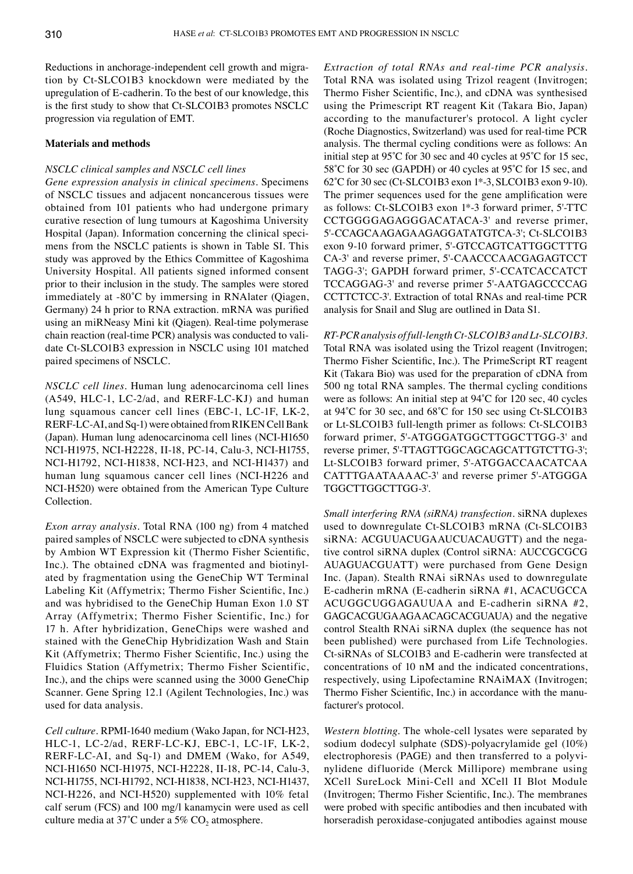Reductions in anchorage-independent cell growth and migration by Ct‑SLCO1B3 knockdown were mediated by the upregulation of E‑cadherin. To the best of our knowledge, this is the first study to show that Ct‑SLCO1B3 promotes NSCLC progression via regulation of EMT.

#### **Materials and methods**

## *NSCLC clinical samples and NSCLC cell lines*

*Gene expression analysis in clinical specimens.* Specimens of NSCLC tissues and adjacent noncancerous tissues were obtained from 101 patients who had undergone primary curative resection of lung tumours at Kagoshima University Hospital (Japan). Information concerning the clinical specimens from the NSCLC patients is shown in Table SI. This study was approved by the Ethics Committee of Kagoshima University Hospital. All patients signed informed consent prior to their inclusion in the study. The samples were stored immediately at ‑80˚C by immersing in RNAlater (Qiagen, Germany) 24 h prior to RNA extraction. mRNA was purified using an miRNeasy Mini kit (Qiagen). Real-time polymerase chain reaction (real-time PCR) analysis was conducted to validate Ct‑SLCO1B3 expression in NSCLC using 101 matched paired specimens of NSCLC.

*NSCLC cell lines.* Human lung adenocarcinoma cell lines (A549, HLC‑1, LC‑2/ad, and RERF‑LC‑KJ) and human lung squamous cancer cell lines (EBC‑1, LC‑1F, LK‑2, RERF‑LC‑AI, and Sq‑1) were obtained from RIKEN Cell Bank (Japan). Human lung adenocarcinoma cell lines (NCI-H1650) NCI‑H1975, NCI‑H2228, II‑18, PC‑14, Calu‑3, NCI‑H1755, NCI-H1792, NCI-H1838, NCI-H23, and NCI-H1437) and human lung squamous cancer cell lines (NCI-H226 and NCI-H520) were obtained from the American Type Culture Collection.

*Exon array analysis.* Total RNA (100 ng) from 4 matched paired samples of NSCLC were subjected to cDNA synthesis by Ambion WT Expression kit (Thermo Fisher Scientific, Inc.). The obtained cDNA was fragmented and biotinylated by fragmentation using the GeneChip WT Terminal Labeling Kit (Affymetrix; Thermo Fisher Scientific, Inc.) and was hybridised to the GeneChip Human Exon 1.0 ST Array (Affymetrix; Thermo Fisher Scientific, Inc.) for 17 h. After hybridization, GeneChips were washed and stained with the GeneChip Hybridization Wash and Stain Kit (Affymetrix; Thermo Fisher Scientific, Inc.) using the Fluidics Station (Affymetrix; Thermo Fisher Scientific, Inc.), and the chips were scanned using the 3000 GeneChip Scanner. Gene Spring 12.1 (Agilent Technologies, Inc.) was used for data analysis.

*Cell culture.* RPMI‑1640 medium (Wako Japan, for NCI‑H23, HLC‑1, LC‑2/ad, RERF‑LC‑KJ, EBC‑1, LC‑1F, LK‑2, RERF‑LC‑AI, and Sq‑1) and DMEM (Wako, for A549, NCI‑H1650 NCI‑H1975, NCI‑H2228, II‑18, PC‑14, Calu‑3, NCI‑H1755, NCI‑H1792, NCI‑H1838, NCI‑H23, NCI‑H1437, NCI-H226, and NCI-H520) supplemented with 10% fetal calf serum (FCS) and 100 mg/l kanamycin were used as cell culture media at 37°C under a 5%  $CO<sub>2</sub>$  atmosphere.

*Extraction of total RNAs and real‑time PCR analysis.*  Total RNA was isolated using Trizol reagent (Invitrogen; Thermo Fisher Scientific, Inc.), and cDNA was synthesised using the Primescript RT reagent Kit (Takara Bio, Japan) according to the manufacturer's protocol. A light cycler (Roche Diagnostics, Switzerland) was used for real-time PCR analysis. The thermal cycling conditions were as follows: An initial step at 95˚C for 30 sec and 40 cycles at 95˚C for 15 sec, 58°C for 30 sec (GAPDH) or 40 cycles at 95°C for 15 sec, and 62˚C for 30 sec (Ct‑SLCO1B3 exon 1\*‑3, SLCO1B3 exon 9‑10). The primer sequences used for the gene amplification were as follows: Ct‑SLCO1B3 exon 1\*‑3 forward primer, 5'‑TTC CCTGGGGAGAGGGACATACA-3' and reverse primer, 5'‑CCAGCAAGAGAAGAGGATATGTCA‑3'; Ct‑SLCO1B3 exon 9‑10 forward primer, 5'‑GTCCAGTCATTGGCTTTG CA‑3' and reverse primer, 5'‑CAACCCAACGAGAGTCCT TAGG‑3'; GAPDH forward primer, 5'‑CCATCACCATCT TCCAGGAG‑3' and reverse primer 5'‑AATGAGCCCCAG CCTTCTCC-3'. Extraction of total RNAs and real-time PCR analysis for Snail and Slug are outlined in Data S1.

*RT‑PCR analysis of full‑length Ct‑SLCO1B3 and Lt‑SLCO1B3.*  Total RNA was isolated using the Trizol reagent (Invitrogen; Thermo Fisher Scientific, Inc.). The PrimeScript RT reagent Kit (Takara Bio) was used for the preparation of cDNA from 500 ng total RNA samples. The thermal cycling conditions were as follows: An initial step at 94˚C for 120 sec, 40 cycles at 94˚C for 30 sec, and 68˚C for 150 sec using Ct‑SLCO1B3 or Lt-SLCO1B3 full-length primer as follows: Ct-SLCO1B3 forward primer, 5'‑ATGGGATGGCTTGGCTTGG‑3' and reverse primer, 5'‑TTAGTTGGCAGCAGCATTGTCTTG‑3'; Lt‑SLCO1B3 forward primer, 5'‑ATGGACCAACATCAA CATTTGAATAAAAC‑3' and reverse primer 5'‑ATGGGA TGGCTTGGCTTGG-3'.

*Small interfering RNA (siRNA) transfection.* siRNA duplexes used to downregulate Ct‑SLCO1B3 mRNA (Ct‑SLCO1B3 siRNA: ACGUUACUGAAUCUACAUGTT) and the negative control siRNA duplex (Control siRNA: AUCCGCGCG AUAGUACGUATT) were purchased from Gene Design Inc. (Japan). Stealth RNAi siRNAs used to downregulate E‑cadherin mRNA (E‑cadherin siRNA #1, ACACUGCCA ACUGGCUGGAGAUUAA and E‑cadherin siRNA #2, GAGCACGUGAAGAACAGCACGUAUA) and the negative control Stealth RNAi siRNA duplex (the sequence has not been published) were purchased from Life Technologies. Ct‑siRNAs of SLCO1B3 and E‑cadherin were transfected at concentrations of 10 nM and the indicated concentrations, respectively, using Lipofectamine RNAiMAX (Invitrogen; Thermo Fisher Scientific, Inc.) in accordance with the manufacturer's protocol.

*Western blotting.* The whole‑cell lysates were separated by sodium dodecyl sulphate (SDS)‑polyacrylamide gel (10%) electrophoresis (PAGE) and then transferred to a polyvinylidene difluoride (Merck Millipore) membrane using XCell SureLock Mini‑Cell and XCell II Blot Module (Invitrogen; Thermo Fisher Scientific, Inc.). The membranes were probed with specific antibodies and then incubated with horseradish peroxidase‑conjugated antibodies against mouse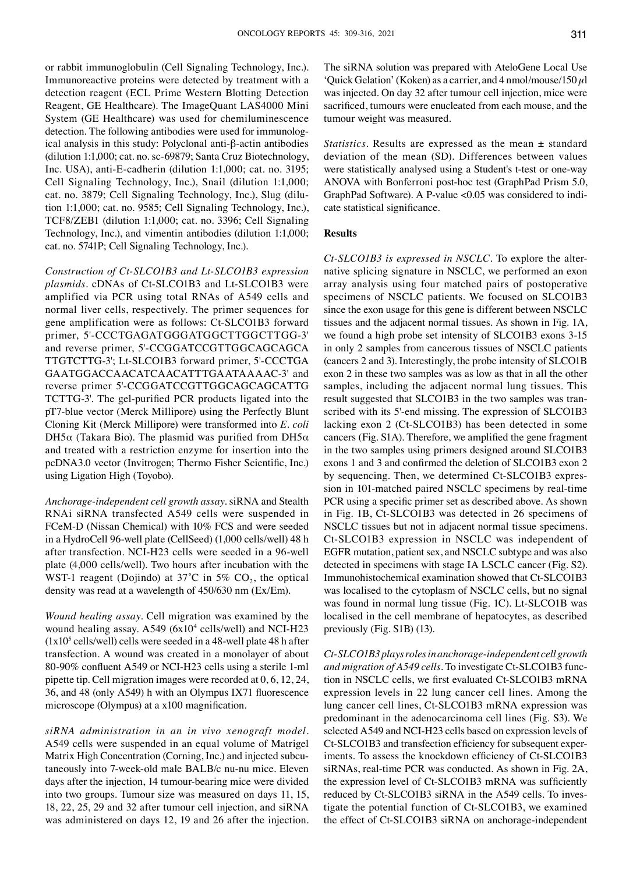or rabbit immunoglobulin (Cell Signaling Technology, Inc.). Immunoreactive proteins were detected by treatment with a detection reagent (ECL Prime Western Blotting Detection Reagent, GE Healthcare). The ImageQuant LAS4000 Mini System (GE Healthcare) was used for chemiluminescence detection. The following antibodies were used for immunological analysis in this study: Polyclonal anti-β‑actin antibodies (dilution 1:1,000; cat. no. sc‑69879; Santa Cruz Biotechnology, Inc. USA), anti-E-cadherin (dilution 1:1,000; cat. no. 3195; Cell Signaling Technology, Inc.), Snail (dilution 1:1,000; cat. no. 3879; Cell Signaling Technology, Inc.), Slug (dilution 1:1,000; cat. no. 9585; Cell Signaling Technology, Inc.), TCF8/ZEB1 (dilution 1:1,000; cat. no. 3396; Cell Signaling Technology, Inc.), and vimentin antibodies (dilution 1:1,000; cat. no. 5741P; Cell Signaling Technology, Inc.).

*Construction of Ct‑SLCO1B3 and Lt‑SLCO1B3 expression plasmids.* cDNAs of Ct‑SLCO1B3 and Lt‑SLCO1B3 were amplified via PCR using total RNAs of A549 cells and normal liver cells, respectively. The primer sequences for gene amplification were as follows: Ct‑SLCO1B3 forward primer, 5'-CCCTGAGATGGGATGGCTTGGCTTGG-3' and reverse primer, 5'‑CCGGATCCGTTGGCAGCAGCA TTGTCTTG‑3'; Lt‑SLCO1B3 forward primer, 5'‑CCCTGA GAATGGACCAACATCAACATTTGAATAAAAC‑3' and reverse primer 5'‑CCGGATCCGTTGGCAGCAGCATTG TCTTG‑3'. The gel‑purified PCR products ligated into the pT7‑blue vector (Merck Millipore) using the Perfectly Blunt Cloning Kit (Merck Millipore) were transformed into *E. coli* DH5α (Takara Bio). The plasmid was purified from DH5α and treated with a restriction enzyme for insertion into the pcDNA3.0 vector (Invitrogen; Thermo Fisher Scientific, Inc.) using Ligation High (Toyobo).

*Anchorage‑independent cell growth assay.* siRNA and Stealth RNAi siRNA transfected A549 cells were suspended in FCeM-D (Nissan Chemical) with 10% FCS and were seeded in a HydroCell 96‑well plate (CellSeed) (1,000 cells/well) 48 h after transfection. NCI‑H23 cells were seeded in a 96‑well plate (4,000 cells/well). Two hours after incubation with the WST-1 reagent (Dojindo) at 37°C in 5%  $CO<sub>2</sub>$ , the optical density was read at a wavelength of 450/630 nm (Ex/Em).

*Wound healing assay.* Cell migration was examined by the wound healing assay. A549 (6x10<sup>4</sup> cells/well) and NCI-H23  $(1x10<sup>5</sup>$  cells/well) cells were seeded in a 48-well plate 48 h after transfection. A wound was created in a monolayer of about 80‑90% confluent A549 or NCI‑H23 cells using a sterile 1‑ml pipette tip. Cell migration images were recorded at 0, 6, 12, 24, 36, and 48 (only A549) h with an Olympus IX71 fluorescence microscope (Olympus) at a x100 magnification.

*siRNA administration in an in vivo xenograft model.*  A549 cells were suspended in an equal volume of Matrigel Matrix High Concentration (Corning, Inc.) and injected subcutaneously into 7-week-old male BALB/c nu-nu mice. Eleven days after the injection, 14 tumour-bearing mice were divided into two groups. Tumour size was measured on days 11, 15, 18, 22, 25, 29 and 32 after tumour cell injection, and siRNA was administered on days 12, 19 and 26 after the injection. The siRNA solution was prepared with AteloGene Local Use 'Quick Gelation' (Koken) as a carrier, and 4 nmol/mouse/150  $\mu$ l was injected. On day 32 after tumour cell injection, mice were sacrificed, tumours were enucleated from each mouse, and the tumour weight was measured.

*Statistics.* Results are expressed as the mean ± standard deviation of the mean (SD). Differences between values were statistically analysed using a Student's t-test or one-way ANOVA with Bonferroni post-hoc test (GraphPad Prism 5.0, GraphPad Software). A P-value <0.05 was considered to indicate statistical significance.

### **Results**

*Ct‑SLCO1B3 is expressed in NSCLC.* To explore the alternative splicing signature in NSCLC, we performed an exon array analysis using four matched pairs of postoperative specimens of NSCLC patients. We focused on SLCO1B3 since the exon usage for this gene is different between NSCLC tissues and the adjacent normal tissues. As shown in Fig. 1A, we found a high probe set intensity of SLCO1B3 exons 3‑15 in only 2 samples from cancerous tissues of NSCLC patients (cancers 2 and 3). Interestingly, the probe intensity of SLCO1B exon 2 in these two samples was as low as that in all the other samples, including the adjacent normal lung tissues. This result suggested that SLCO1B3 in the two samples was transcribed with its 5'-end missing. The expression of SLCO1B3 lacking exon 2 (Ct‑SLCO1B3) has been detected in some cancers (Fig. S1A). Therefore, we amplified the gene fragment in the two samples using primers designed around SLCO1B3 exons 1 and 3 and confirmed the deletion of SLCO1B3 exon 2 by sequencing. Then, we determined Ct‑SLCO1B3 expression in 101-matched paired NSCLC specimens by real-time PCR using a specific primer set as described above. As shown in Fig. 1B, Ct‑SLCO1B3 was detected in 26 specimens of NSCLC tissues but not in adjacent normal tissue specimens. Ct‑SLCO1B3 expression in NSCLC was independent of EGFR mutation, patient sex, and NSCLC subtype and was also detected in specimens with stage IA LSCLC cancer (Fig. S2). Immunohistochemical examination showed that Ct‑SLCO1B3 was localised to the cytoplasm of NSCLC cells, but no signal was found in normal lung tissue (Fig. 1C). Lt-SLCO1B was localised in the cell membrane of hepatocytes, as described previously (Fig. S1B) (13).

*Ct‑SLCO1B3 plays roles in anchorage‑independent cell growth and migration of A549 cells.* To investigate Ct‑SLCO1B3 function in NSCLC cells, we first evaluated Ct‑SLCO1B3 mRNA expression levels in 22 lung cancer cell lines. Among the lung cancer cell lines, Ct‑SLCO1B3 mRNA expression was predominant in the adenocarcinoma cell lines (Fig. S3). We selected A549 and NCI-H23 cells based on expression levels of Ct‑SLCO1B3 and transfection efficiency for subsequent experiments. To assess the knockdown efficiency of Ct‑SLCO1B3 siRNAs, real-time PCR was conducted. As shown in Fig. 2A, the expression level of Ct‑SLCO1B3 mRNA was sufficiently reduced by Ct‑SLCO1B3 siRNA in the A549 cells. To investigate the potential function of Ct‑SLCO1B3, we examined the effect of Ct-SLCO1B3 siRNA on anchorage-independent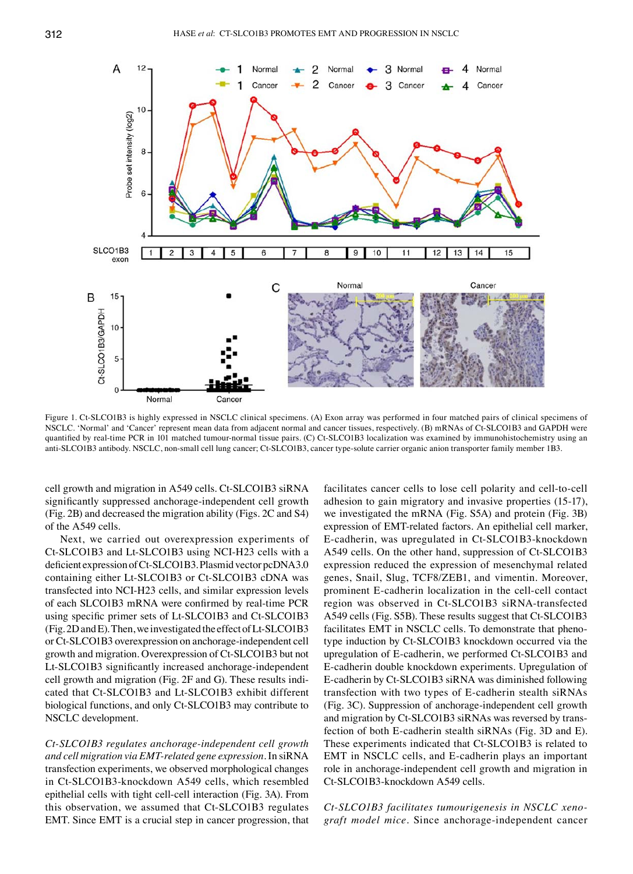

Figure 1. Ct-SLCO1B3 is highly expressed in NSCLC clinical specimens. (A) Exon array was performed in four matched pairs of clinical specimens of NSCLC. 'Normal' and 'Cancer' represent mean data from adjacent normal and cancer tissues, respectively. (B) mRNAs of Ct‑SLCO1B3 and GAPDH were quantified by real-time PCR in 101 matched tumour-normal tissue pairs. (C) Ct-SLCO1B3 localization was examined by immunohistochemistry using an anti-SLCO1B3 antibody. NSCLC, non-small cell lung cancer; Ct-SLCO1B3, cancer type-solute carrier organic anion transporter family member 1B3.

cell growth and migration in A549 cells. Ct‑SLCO1B3 siRNA significantly suppressed anchorage-independent cell growth (Fig. 2B) and decreased the migration ability (Figs. 2C and S4) of the A549 cells.

Next, we carried out overexpression experiments of Ct‑SLCO1B3 and Lt‑SLCO1B3 using NCI‑H23 cells with a deficient expression of Ct‑SLCO1B3. Plasmid vector pcDNA3.0 containing either Lt‑SLCO1B3 or Ct‑SLCO1B3 cDNA was transfected into NCI-H23 cells, and similar expression levels of each SLCO1B3 mRNA were confirmed by real-time PCR using specific primer sets of Lt‑SLCO1B3 and Ct‑SLCO1B3 (Fig. 2D andE). Then, we investigated the effect of Lt‑SLCO1B3 or Ct‑SLCO1B3 overexpression on anchorage‑independent cell growth and migration. Overexpression of Ct‑SLCO1B3 but not Lt-SLCO1B3 significantly increased anchorage-independent cell growth and migration (Fig. 2F and G). These results indicated that Ct‑SLCO1B3 and Lt‑SLCO1B3 exhibit different biological functions, and only Ct‑SLCO1B3 may contribute to NSCLC development.

*Ct‑SLCO1B3 regulates anchorage‑independent cell growth and cell migration via EMT‑related gene expression.* In siRNA transfection experiments, we observed morphological changes in Ct‑SLCO1B3‑knockdown A549 cells, which resembled epithelial cells with tight cell‑cell interaction (Fig. 3A). From this observation, we assumed that Ct‑SLCO1B3 regulates EMT. Since EMT is a crucial step in cancer progression, that facilitates cancer cells to lose cell polarity and cell-to-cell adhesion to gain migratory and invasive properties (15‑17), we investigated the mRNA (Fig. S5A) and protein (Fig. 3B) expression of EMT‑related factors. An epithelial cell marker, E‑cadherin, was upregulated in Ct‑SLCO1B3‑knockdown A549 cells. On the other hand, suppression of Ct‑SLCO1B3 expression reduced the expression of mesenchymal related genes, Snail, Slug, TCF8/ZEB1, and vimentin. Moreover, prominent E-cadherin localization in the cell-cell contact region was observed in Ct‑SLCO1B3 siRNA‑transfected A549 cells (Fig. S5B). These results suggest that Ct‑SLCO1B3 facilitates EMT in NSCLC cells. To demonstrate that phenotype induction by Ct‑SLCO1B3 knockdown occurred via the upregulation of E‑cadherin, we performed Ct‑SLCO1B3 and E‑cadherin double knockdown experiments. Upregulation of E‑cadherin by Ct‑SLCO1B3 siRNA was diminished following transfection with two types of E‑cadherin stealth siRNAs (Fig. 3C). Suppression of anchorage‑independent cell growth and migration by Ct‑SLCO1B3 siRNAs was reversed by transfection of both E‑cadherin stealth siRNAs (Fig. 3D and E). These experiments indicated that Ct‑SLCO1B3 is related to EMT in NSCLC cells, and E‑cadherin plays an important role in anchorage‑independent cell growth and migration in Ct‑SLCO1B3‑knockdown A549 cells.

*Ct‑SLCO1B3 facilitates tumourigenesis in NSCLC xeno‑ graft model mice.* Since anchorage‑independent cancer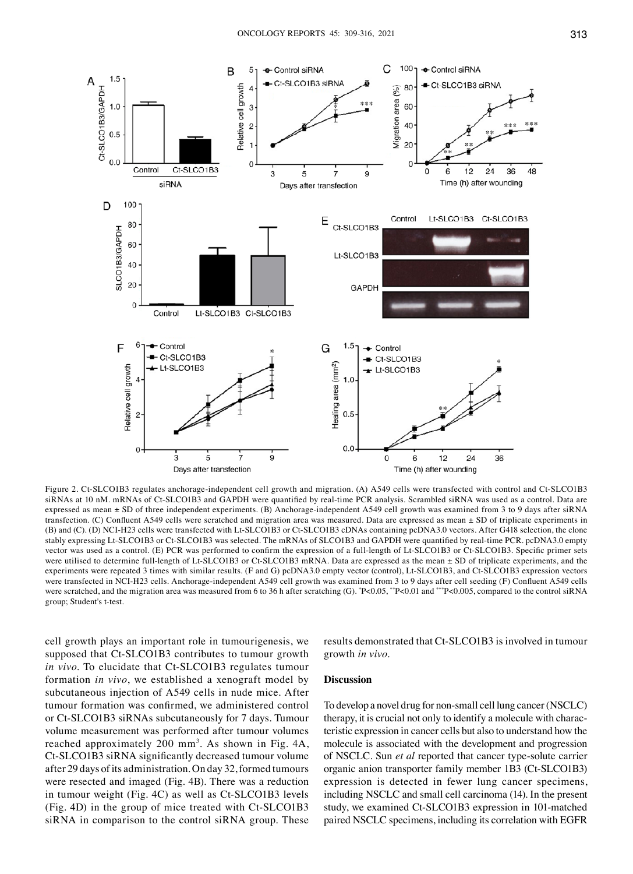

Figure 2. Ct-SLCO1B3 regulates anchorage-independent cell growth and migration. (A) A549 cells were transfected with control and Ct-SLCO1B3 siRNAs at 10 nM. mRNAs of Ct-SLCO1B3 and GAPDH were quantified by real-time PCR analysis. Scrambled siRNA was used as a control. Data are expressed as mean ± SD of three independent experiments. (B) Anchorage-independent A549 cell growth was examined from 3 to 9 days after siRNA transfection. (C) Confluent A549 cells were scratched and migration area was measured. Data are expressed as mean ± SD of triplicate experiments in (B) and (C). (D) NCI‑H23 cells were transfected with Lt‑SLCO1B3 or Ct‑SLCO1B3 cDNAs containing pcDNA3.0 vectors. After G418 selection, the clone stably expressing Lt‑SLCO1B3 or Ct‑SLCO1B3 was selected. The mRNAs of SLCO1B3 and GAPDH were quantified by real‑time PCR. pcDNA3.0 empty vector was used as a control. (E) PCR was performed to confirm the expression of a full-length of Lt-SLCO1B3 or Ct-SLCO1B3. Specific primer sets were utilised to determine full-length of Lt-SLCO1B3 or Ct-SLCO1B3 mRNA. Data are expressed as the mean ± SD of triplicate experiments, and the experiments were repeated 3 times with similar results. (F and G) pcDNA3.0 empty vector (control), Lt-SLCO1B3, and Ct-SLCO1B3 expression vectors were transfected in NCI-H23 cells. Anchorage-independent A549 cell growth was examined from 3 to 9 days after cell seeding (F) Confluent A549 cells were scratched, and the migration area was measured from 6 to 36 h after scratching (G). \*P<0.05,\*\*P<0.01 and \*\*\*P<0.005, compared to the control siRNA group; Student's t‑test.

cell growth plays an important role in tumourigenesis, we supposed that Ct‑SLCO1B3 contributes to tumour growth *in vivo*. To elucidate that Ct‑SLCO1B3 regulates tumour formation *in vivo*, we established a xenograft model by subcutaneous injection of A549 cells in nude mice. After tumour formation was confirmed, we administered control or Ct‑SLCO1B3 siRNAs subcutaneously for 7 days. Tumour volume measurement was performed after tumour volumes reached approximately 200 mm<sup>3</sup>. As shown in Fig. 4A, Ct‑SLCO1B3 siRNA significantly decreased tumour volume after 29 days of its administration. On day 32, formed tumours were resected and imaged (Fig. 4B). There was a reduction in tumour weight (Fig. 4C) as well as Ct‑SLCO1B3 levels (Fig. 4D) in the group of mice treated with Ct‑SLCO1B3 siRNA in comparison to the control siRNA group. These

results demonstrated that Ct‑SLCO1B3 is involved in tumour growth *in vivo*.

### **Discussion**

To develop a novel drug for non‑small cell lung cancer (NSCLC) therapy, it is crucial not only to identify a molecule with characteristic expression in cancer cells but also to understand how the molecule is associated with the development and progression of NSCLC. Sun *et al* reported that cancer type‑solute carrier organic anion transporter family member 1B3 (Ct‑SLCO1B3) expression is detected in fewer lung cancer specimens, including NSCLC and small cell carcinoma (14). In the present study, we examined Ct‑SLCO1B3 expression in 101‑matched paired NSCLC specimens, including its correlation with EGFR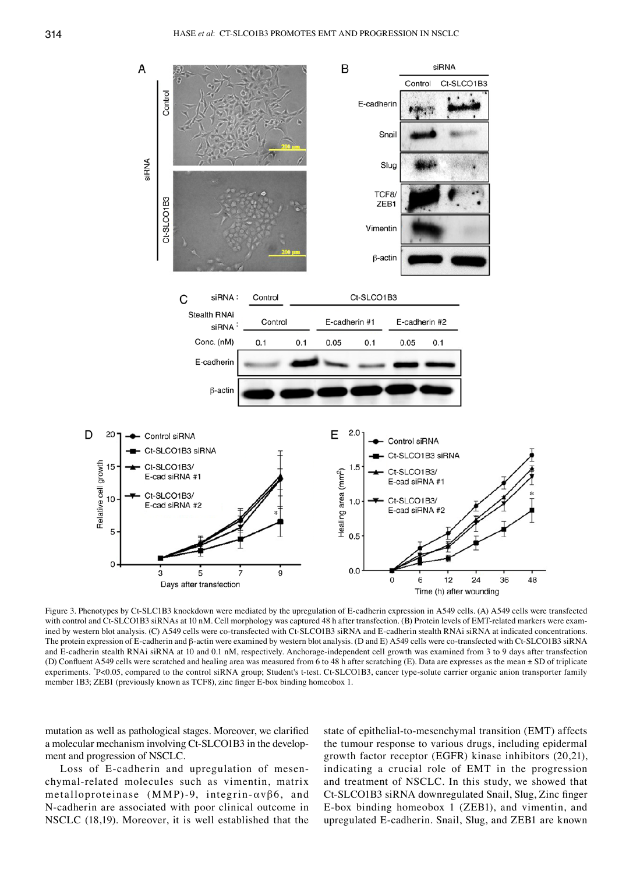

Figure 3. Phenotypes by Ct-SLC1B3 knockdown were mediated by the upregulation of E-cadherin expression in A549 cells. (A) A549 cells were transfected with control and Ct-SLCO1B3 siRNAs at 10 nM. Cell morphology was captured 48 h after transfection. (B) Protein levels of EMT-related markers were examined by western blot analysis. (C) A549 cells were co-transfected with Ct-SLCO1B3 siRNA and E-cadherin stealth RNAi siRNA at indicated concentrations. The protein expression of E-cadherin and β-actin were examined by western blot analysis. (D and E) A549 cells were co-transfected with Ct-SLCO1B3 siRNA and E-cadherin stealth RNAi siRNA at 10 and 0.1 nM, respectively. Anchorage-independent cell growth was examined from 3 to 9 days after transfection (D) Confluent A549 cells were scratched and healing area was measured from 6 to 48 h after scratching (E). Data are expresses as the mean ± SD of triplicate experiments. \*P<0.05, compared to the control siRNA group; Student's t-test. Ct-SLCO1B3, cancer type-solute carrier organic anion transporter family member 1B3; ZEB1 (previously known as TCF8), zinc finger E‑box binding homeobox 1.

mutation as well as pathological stages. Moreover, we clarified a molecular mechanism involving Ct‑SLCO1B3 in the development and progression of NSCLC.

Loss of E-cadherin and upregulation of mesenchymal‑related molecules such as vimentin, matrix metalloproteinase (MMP)-9, integrin- $\alpha v \beta 6$ , and N‑cadherin are associated with poor clinical outcome in NSCLC (18,19). Moreover, it is well established that the

state of epithelial-to-mesenchymal transition (EMT) affects the tumour response to various drugs, including epidermal growth factor receptor (EGFR) kinase inhibitors (20,21), indicating a crucial role of EMT in the progression and treatment of NSCLC. In this study, we showed that Ct‑SLCO1B3 siRNA downregulated Snail, Slug, Zinc finger E‑box binding homeobox 1 (ZEB1), and vimentin, and upregulated E‑cadherin. Snail, Slug, and ZEB1 are known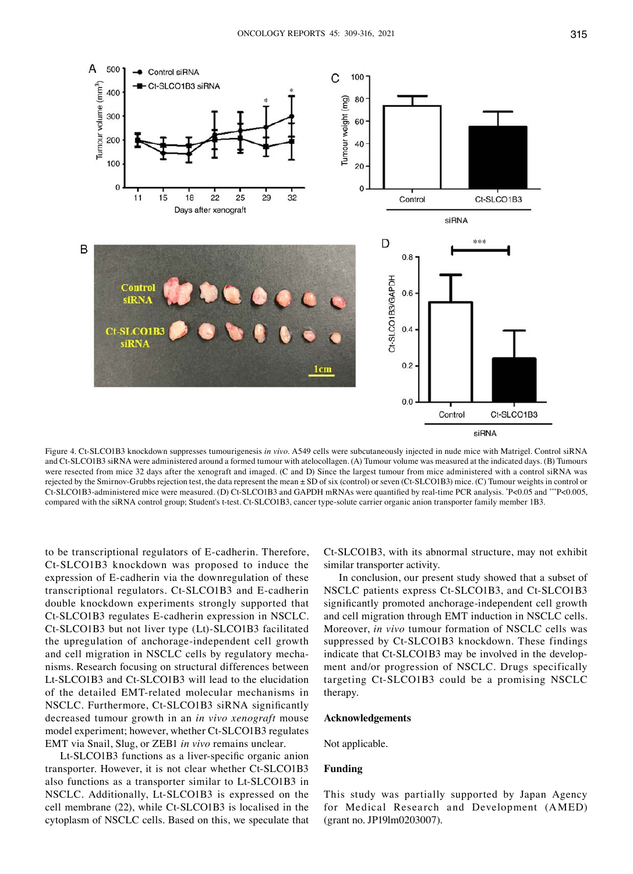

Figure 4. Ct‑SLCO1B3 knockdown suppresses tumourigenesis *in vivo*. A549 cells were subcutaneously injected in nude mice with Matrigel. Control siRNA and Ct‑SLCO1B3 siRNA were administered around a formed tumour with atelocollagen. (A) Tumour volume was measured at the indicated days. (B) Tumours were resected from mice 32 days after the xenograft and imaged. (C and D) Since the largest tumour from mice administered with a control siRNA was rejected by the Smirnov-Grubbs rejection test, the data represent the mean  $\pm$  SD of six (control) or seven (Ct-SLCO1B3) mice. (C) Tumour weights in control or Ct-SLCO1B3-administered mice were measured. (D) Ct-SLCO1B3 and GAPDH mRNAs were quantified by real-time PCR analysis. \*P<0.05 and \*\*\*P<0.005, compared with the siRNA control group; Student's t-test. Ct-SLCO1B3, cancer type-solute carrier organic anion transporter family member 1B3.

to be transcriptional regulators of E‑cadherin. Therefore, Ct‑SLCO1B3 knockdown was proposed to induce the expression of E-cadherin via the downregulation of these transcriptional regulators. Ct‑SLCO1B3 and E‑cadherin double knockdown experiments strongly supported that Ct‑SLCO1B3 regulates E‑cadherin expression in NSCLC. Ct‑SLCO1B3 but not liver type (Lt)‑SLCO1B3 facilitated the upregulation of anchorage‑independent cell growth and cell migration in NSCLC cells by regulatory mechanisms. Research focusing on structural differences between Lt‑SLCO1B3 and Ct‑SLCO1B3 will lead to the elucidation of the detailed EMT‑related molecular mechanisms in NSCLC. Furthermore, Ct‑SLCO1B3 siRNA significantly decreased tumour growth in an *in vivo xenograft* mouse model experiment; however, whether Ct‑SLCO1B3 regulates EMT via Snail, Slug, or ZEB1 *in vivo* remains unclear.

Lt-SLCO1B3 functions as a liver-specific organic anion transporter. However, it is not clear whether Ct‑SLCO1B3 also functions as a transporter similar to Lt‑SLCO1B3 in NSCLC. Additionally, Lt‑SLCO1B3 is expressed on the cell membrane (22), while Ct‑SLCO1B3 is localised in the cytoplasm of NSCLC cells. Based on this, we speculate that Ct‑SLCO1B3, with its abnormal structure, may not exhibit similar transporter activity.

In conclusion, our present study showed that a subset of NSCLC patients express Ct‑SLCO1B3, and Ct‑SLCO1B3 significantly promoted anchorage-independent cell growth and cell migration through EMT induction in NSCLC cells. Moreover, *in vivo* tumour formation of NSCLC cells was suppressed by Ct-SLCO1B3 knockdown. These findings indicate that Ct-SLCO1B3 may be involved in the development and/or progression of NSCLC. Drugs specifically targeting Ct‑SLCO1B3 could be a promising NSCLC therapy.

#### **Acknowledgements**

Not applicable.

## **Funding**

This study was partially supported by Japan Agency for Medical Research and Development (AMED) (grant no. JP19lm0203007).